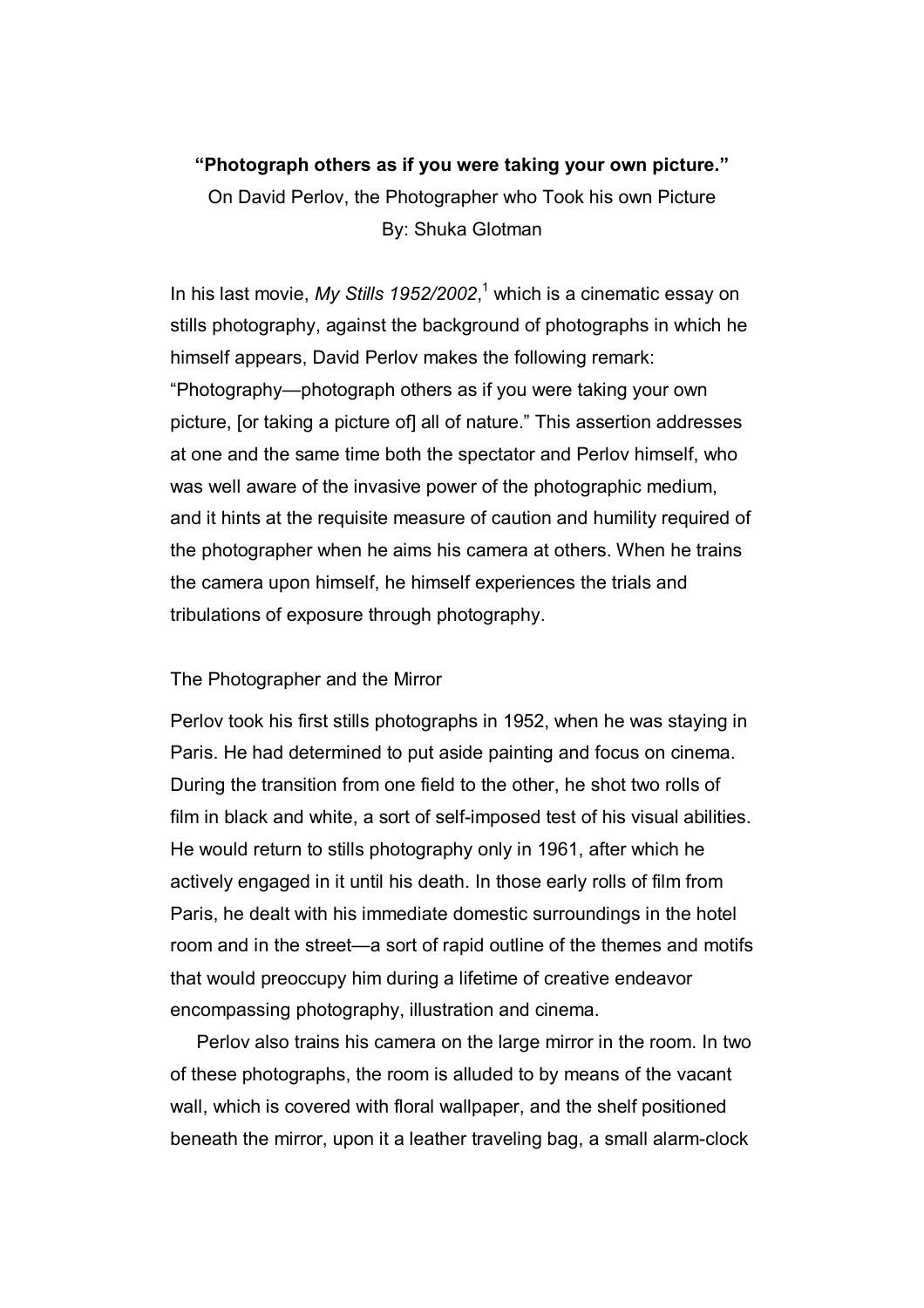## **"Photograph others as if you were taking your own picture."**

On David Perlov, the Photographer who Took his own Picture By: Shuka Glotman

In his last movie, My Stills 1952/2002,<sup>1</sup> which is a cinematic essay on stills photography, against the background of photographs in which he himself appears, David Perlov makes the following remark: "Photography—photograph others as if you were taking your own picture, [or taking a picture of] all of nature." This assertion addresses at one and the same time both the spectator and Perlov himself, who was well aware of the invasive power of the photographic medium, and it hints at the requisite measure of caution and humility required of the photographer when he aims his camera at others. When he trains the camera upon himself, he himself experiences the trials and tribulations of exposure through photography.

## The Photographer and the Mirror

Perlov took his first stills photographs in 1952, when he was staying in Paris. He had determined to put aside painting and focus on cinema. During the transition from one field to the other, he shot two rolls of film in black and white, a sort of self-imposed test of his visual abilities. He would return to stills photography only in 1961, after which he actively engaged in it until his death. In those early rolls of film from Paris, he dealt with his immediate domestic surroundings in the hotel room and in the street—a sort of rapid outline of the themes and motifs that would preoccupy him during a lifetime of creative endeavor encompassing photography, illustration and cinema.

Perlov also trains his camera on the large mirror in the room. In two of these photographs, the room is alluded to by means of the vacant wall, which is covered with floral wallpaper, and the shelf positioned beneath the mirror, upon it a leather traveling bag, a small alarm-clock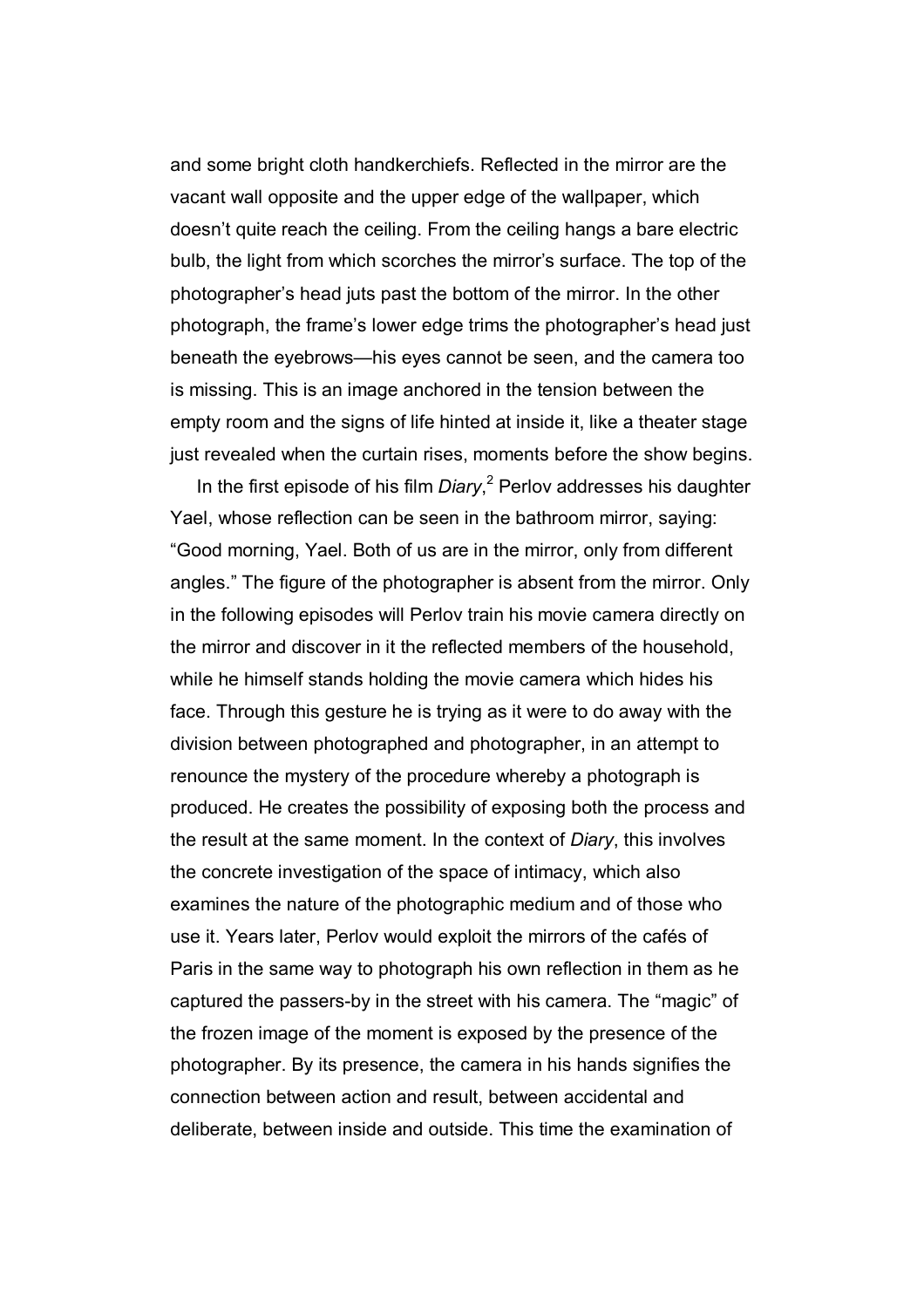and some bright cloth handkerchiefs. Reflected in the mirror are the vacant wall opposite and the upper edge of the wallpaper, which doesn't quite reach the ceiling. From the ceiling hangs a bare electric bulb, the light from which scorches the mirror's surface. The top of the photographer's head juts past the bottom of the mirror. In the other photograph, the frame's lower edge trims the photographer's head just beneath the eyebrows—his eyes cannot be seen, and the camera too is missing. This is an image anchored in the tension between the empty room and the signs of life hinted at inside it, like a theater stage just revealed when the curtain rises, moments before the show begins.

In the first episode of his film *Diary*,<sup>2</sup> Perlov addresses his daughter Yael, whose reflection can be seen in the bathroom mirror, saying: "Good morning, Yael. Both of us are in the mirror, only from different angles." The figure of the photographer is absent from the mirror. Only in the following episodes will Perlov train his movie camera directly on the mirror and discover in it the reflected members of the household, while he himself stands holding the movie camera which hides his face. Through this gesture he is trying as it were to do away with the division between photographed and photographer, in an attempt to renounce the mystery of the procedure whereby a photograph is produced. He creates the possibility of exposing both the process and the result at the same moment. In the context of *Diary*, this involves the concrete investigation of the space of intimacy, which also examines the nature of the photographic medium and of those who use it. Years later, Perlov would exploit the mirrors of the cafés of Paris in the same way to photograph his own reflection in them as he captured the passers-by in the street with his camera. The "magic" of the frozen image of the moment is exposed by the presence of the photographer. By its presence, the camera in his hands signifies the connection between action and result, between accidental and deliberate, between inside and outside. This time the examination of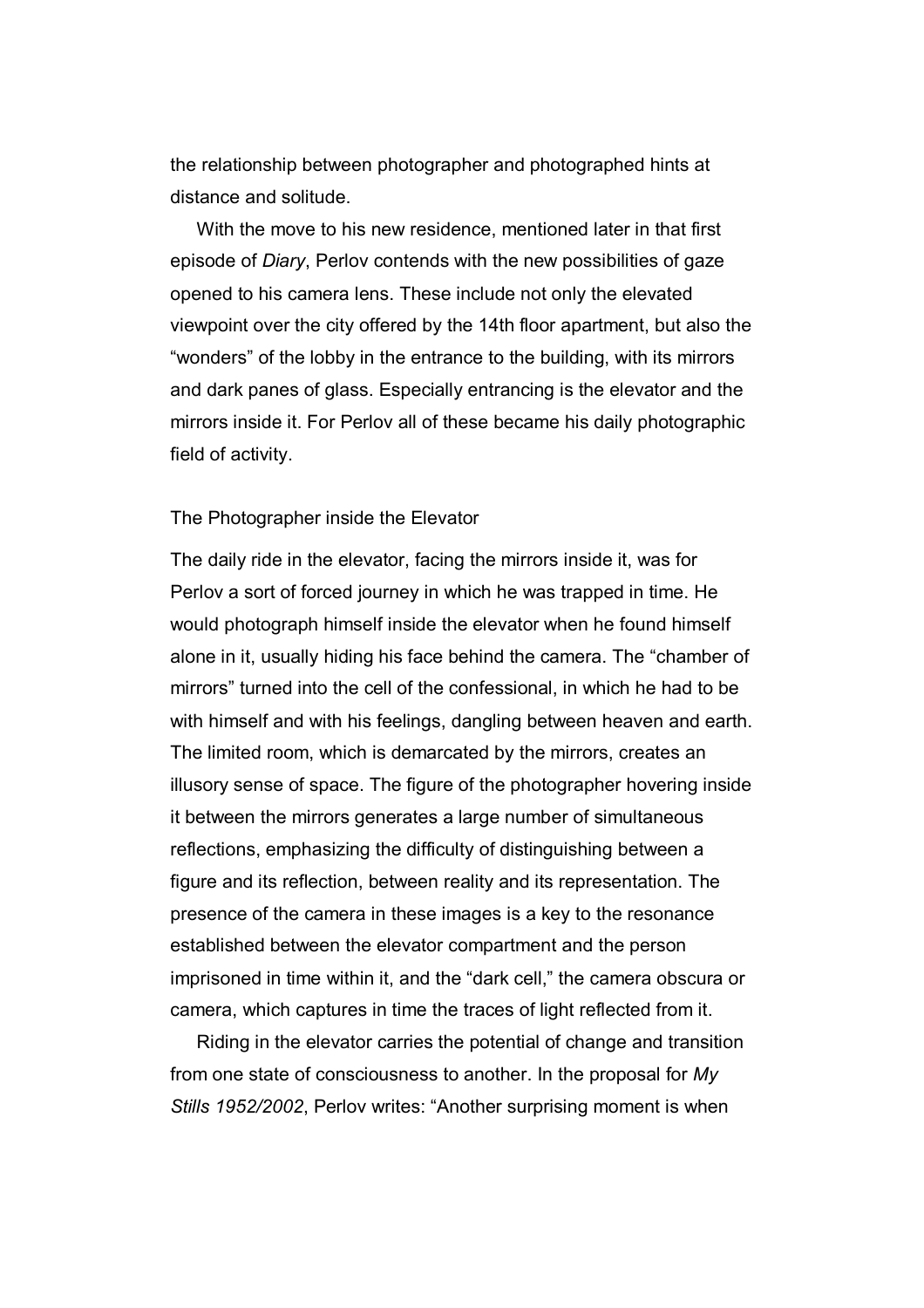the relationship between photographer and photographed hints at distance and solitude.

With the move to his new residence, mentioned later in that first episode of *Diary*, Perlov contends with the new possibilities of gaze opened to his camera lens. These include not only the elevated viewpoint over the city offered by the 14th floor apartment, but also the "wonders" of the lobby in the entrance to the building, with its mirrors and dark panes of glass. Especially entrancing is the elevator and the mirrors inside it. For Perlov all of these became his daily photographic field of activity.

## The Photographer inside the Elevator

The daily ride in the elevator, facing the mirrors inside it, was for Perlov a sort of forced journey in which he was trapped in time. He would photograph himself inside the elevator when he found himself alone in it, usually hiding his face behind the camera. The "chamber of mirrors" turned into the cell of the confessional, in which he had to be with himself and with his feelings, dangling between heaven and earth. The limited room, which is demarcated by the mirrors, creates an illusory sense of space. The figure of the photographer hovering inside it between the mirrors generates a large number of simultaneous reflections, emphasizing the difficulty of distinguishing between a figure and its reflection, between reality and its representation. The presence of the camera in these images is a key to the resonance established between the elevator compartment and the person imprisoned in time within it, and the "dark cell," the camera obscura or camera, which captures in time the traces of light reflected from it.

Riding in the elevator carries the potential of change and transition from one state of consciousness to another. In the proposal for *My Stills 1952/2002*, Perlov writes: "Another surprising moment is when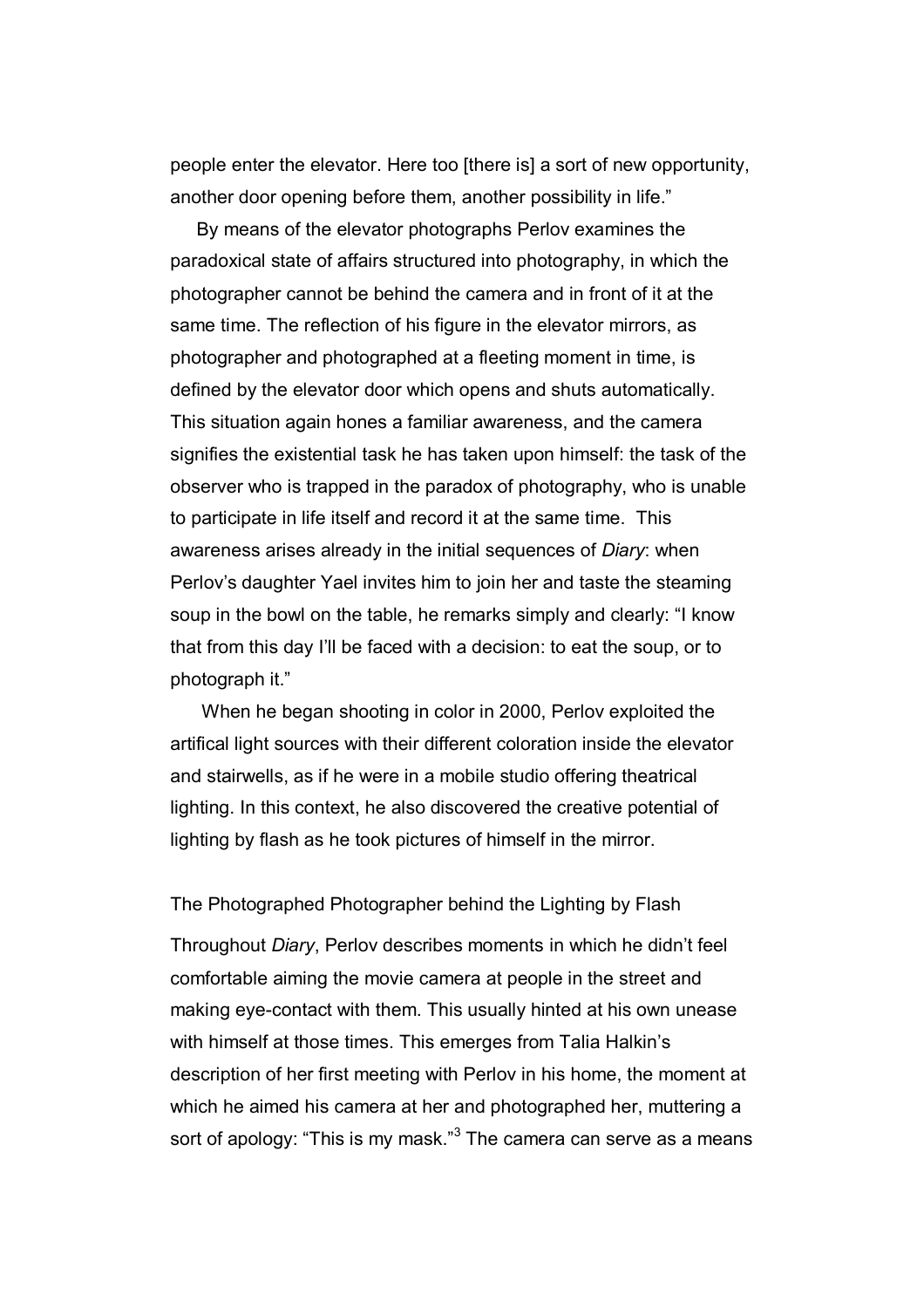people enter the elevator. Here too [there is] a sort of new opportunity, another door opening before them, another possibility in life."

By means of the elevator photographs Perlov examines the paradoxical state of affairs structured into photography, in which the photographer cannot be behind the camera and in front of it at the same time. The reflection of his figure in the elevator mirrors, as photographer and photographed at a fleeting moment in time, is defined by the elevator door which opens and shuts automatically. This situation again hones a familiar awareness, and the camera signifies the existential task he has taken upon himself: the task of the observer who is trapped in the paradox of photography, who is unable to participate in life itself and record it at the same time. This awareness arises already in the initial sequences of *Diary*: when Perlov's daughter Yael invites him to join her and taste the steaming soup in the bowl on the table, he remarks simply and clearly: "I know that from this day I'll be faced with a decision: to eat the soup, or to photograph it."

 When he began shooting in color in 2000, Perlov exploited the artifical light sources with their different coloration inside the elevator and stairwells, as if he were in a mobile studio offering theatrical lighting. In this context, he also discovered the creative potential of lighting by flash as he took pictures of himself in the mirror.

## The Photographed Photographer behind the Lighting by Flash

Throughout *Diary*, Perlov describes moments in which he didn't feel comfortable aiming the movie camera at people in the street and making eye-contact with them. This usually hinted at his own unease with himself at those times. This emerges from Talia Halkin's description of her first meeting with Perlov in his home, the moment at which he aimed his camera at her and photographed her, muttering a sort of apology: "This is my mask."<sup>3</sup> The camera can serve as a means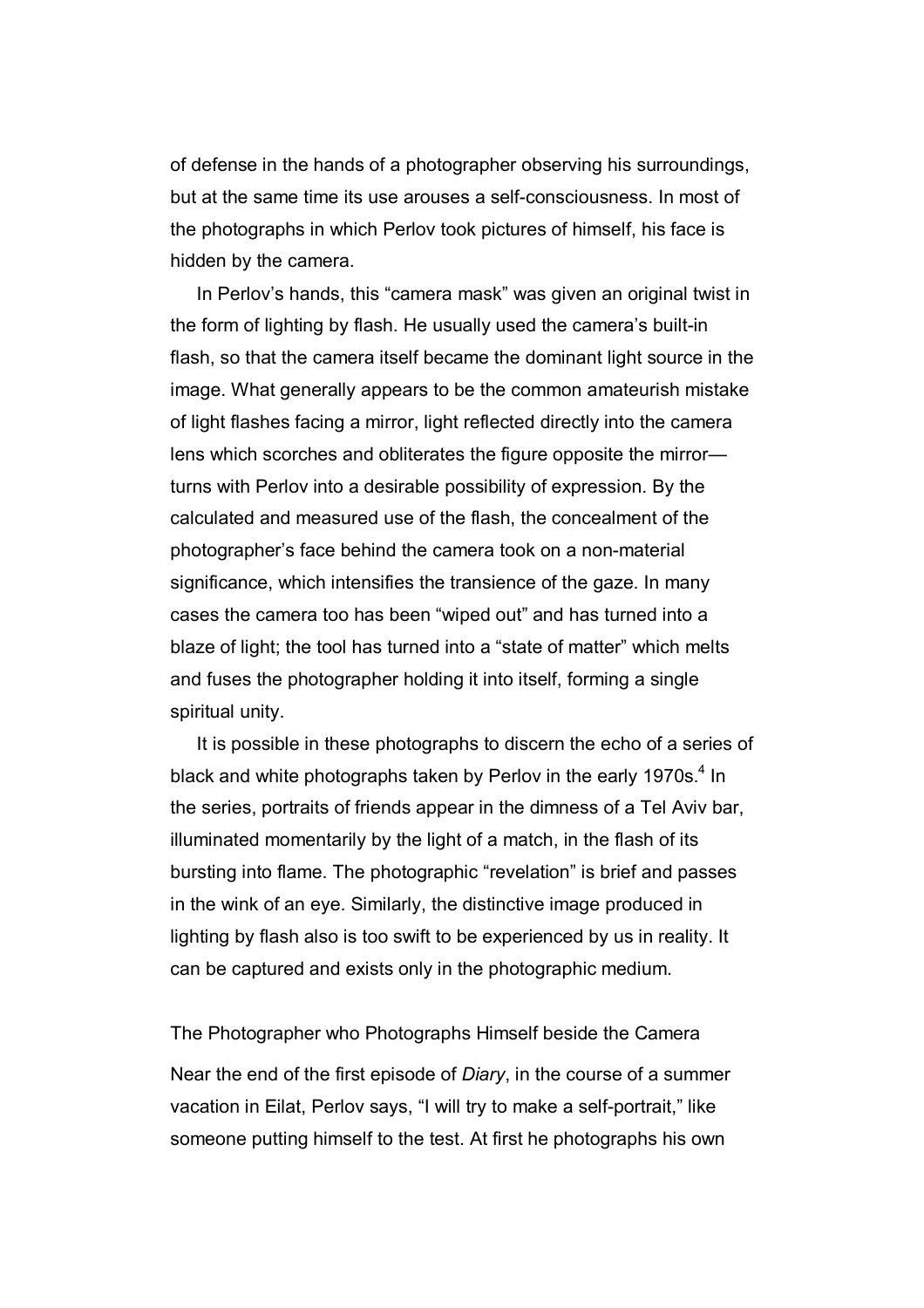of defense in the hands of a photographer observing his surroundings, but at the same time its use arouses a self-consciousness. In most of the photographs in which Perlov took pictures of himself, his face is hidden by the camera.

In Perlov's hands, this "camera mask" was given an original twist in the form of lighting by flash. He usually used the camera's built-in flash, so that the camera itself became the dominant light source in the image. What generally appears to be the common amateurish mistake of light flashes facing a mirror, light reflected directly into the camera lens which scorches and obliterates the figure opposite the mirror turns with Perlov into a desirable possibility of expression. By the calculated and measured use of the flash, the concealment of the photographer's face behind the camera took on a non-material significance, which intensifies the transience of the gaze. In many cases the camera too has been "wiped out" and has turned into a blaze of light; the tool has turned into a "state of matter" which melts and fuses the photographer holding it into itself, forming a single spiritual unity.

It is possible in these photographs to discern the echo of a series of black and white photographs taken by Perlov in the early 1970s. $4$  In the series, portraits of friends appear in the dimness of a Tel Aviv bar, illuminated momentarily by the light of a match, in the flash of its bursting into flame. The photographic "revelation" is brief and passes in the wink of an eye. Similarly, the distinctive image produced in lighting by flash also is too swift to be experienced by us in reality. It can be captured and exists only in the photographic medium.

The Photographer who Photographs Himself beside the Camera Near the end of the first episode of *Diary*, in the course of a summer vacation in Eilat, Perlov says, "I will try to make a self-portrait," like someone putting himself to the test. At first he photographs his own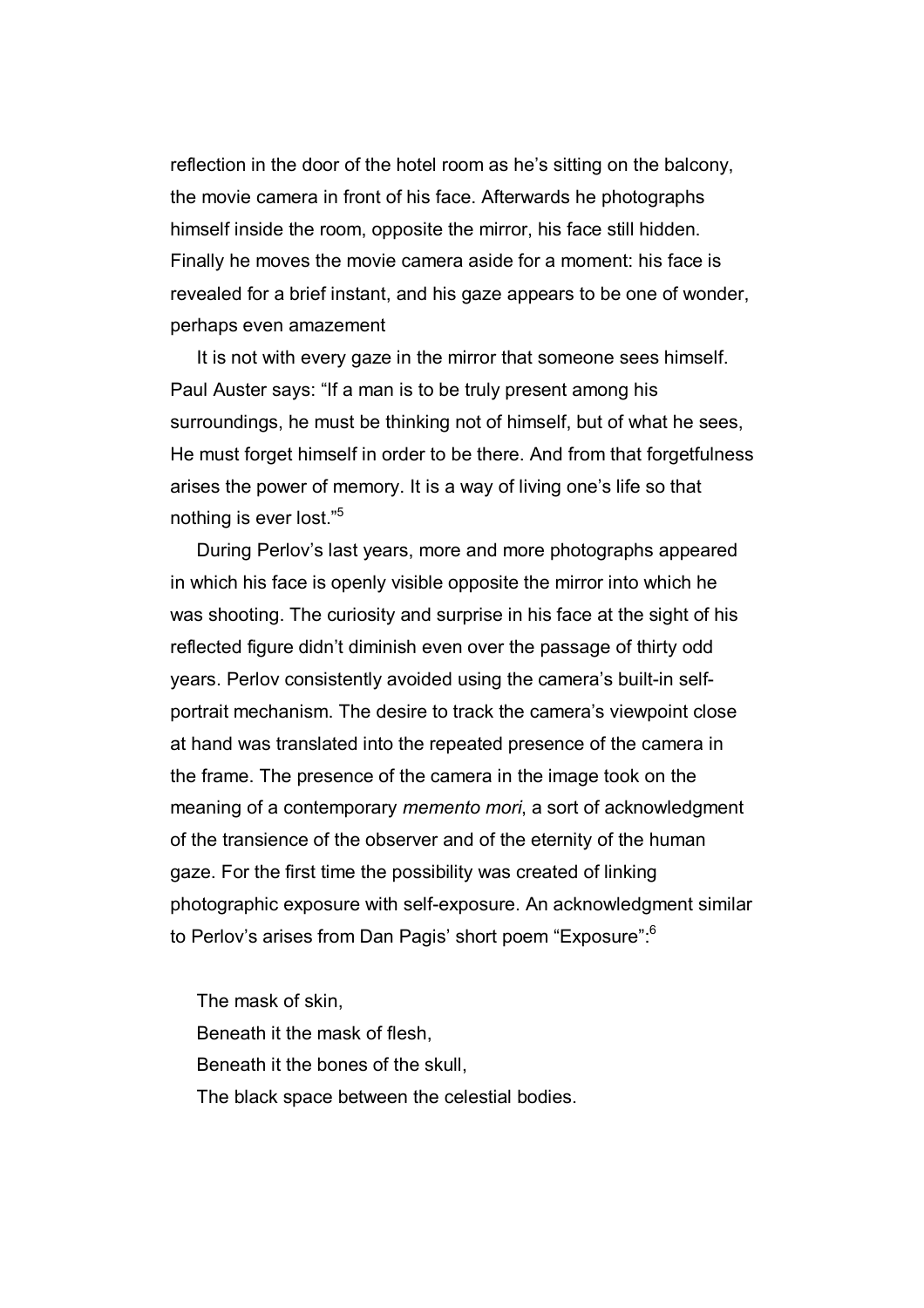reflection in the door of the hotel room as he's sitting on the balcony, the movie camera in front of his face. Afterwards he photographs himself inside the room, opposite the mirror, his face still hidden. Finally he moves the movie camera aside for a moment: his face is revealed for a brief instant, and his gaze appears to be one of wonder, perhaps even amazement

It is not with every gaze in the mirror that someone sees himself. Paul Auster says: "If a man is to be truly present among his surroundings, he must be thinking not of himself, but of what he sees, He must forget himself in order to be there. And from that forgetfulness arises the power of memory. It is a way of living one's life so that nothing is ever lost."5

During Perlov's last years, more and more photographs appeared in which his face is openly visible opposite the mirror into which he was shooting. The curiosity and surprise in his face at the sight of his reflected figure didn't diminish even over the passage of thirty odd years. Perlov consistently avoided using the camera's built-in selfportrait mechanism. The desire to track the camera's viewpoint close at hand was translated into the repeated presence of the camera in the frame. The presence of the camera in the image took on the meaning of a contemporary *memento mori*, a sort of acknowledgment of the transience of the observer and of the eternity of the human gaze. For the first time the possibility was created of linking photographic exposure with self-exposure. An acknowledgment similar to Perlov's arises from Dan Pagis' short poem "Exposure":6

The mask of skin, Beneath it the mask of flesh, Beneath it the bones of the skull, The black space between the celestial bodies.